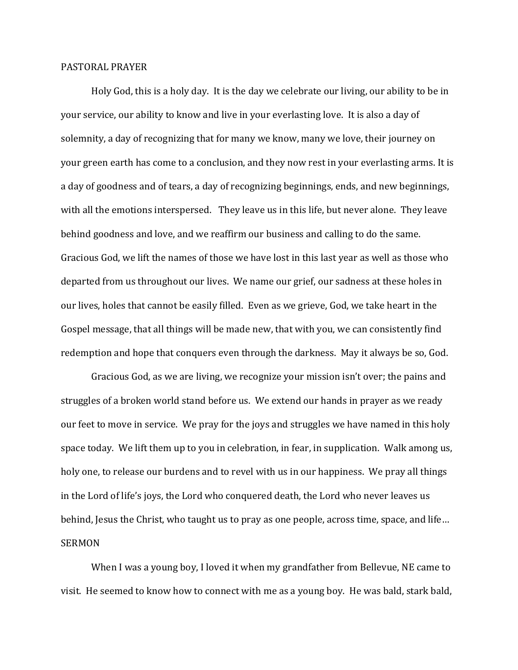## PASTORAL PRAYER

Holy God, this is a holy day. It is the day we celebrate our living, our ability to be in your service, our ability to know and live in your everlasting love. It is also a day of solemnity, a day of recognizing that for many we know, many we love, their journey on your green earth has come to a conclusion, and they now rest in your everlasting arms. It is a day of goodness and of tears, a day of recognizing beginnings, ends, and new beginnings, with all the emotions interspersed. They leave us in this life, but never alone. They leave behind goodness and love, and we reaffirm our business and calling to do the same. Gracious God, we lift the names of those we have lost in this last year as well as those who departed from us throughout our lives. We name our grief, our sadness at these holes in our lives, holes that cannot be easily filled. Even as we grieve, God, we take heart in the Gospel message, that all things will be made new, that with you, we can consistently find redemption and hope that conquers even through the darkness. May it always be so, God.

Gracious God, as we are living, we recognize your mission isn't over; the pains and struggles of a broken world stand before us. We extend our hands in prayer as we ready our feet to move in service. We pray for the joys and struggles we have named in this holy space today. We lift them up to you in celebration, in fear, in supplication. Walk among us, holy one, to release our burdens and to revel with us in our happiness. We pray all things in the Lord of life's joys, the Lord who conquered death, the Lord who never leaves us behind, Jesus the Christ, who taught us to pray as one people, across time, space, and life… SERMON

When I was a young boy, I loved it when my grandfather from Bellevue, NE came to visit. He seemed to know how to connect with me as a young boy. He was bald, stark bald,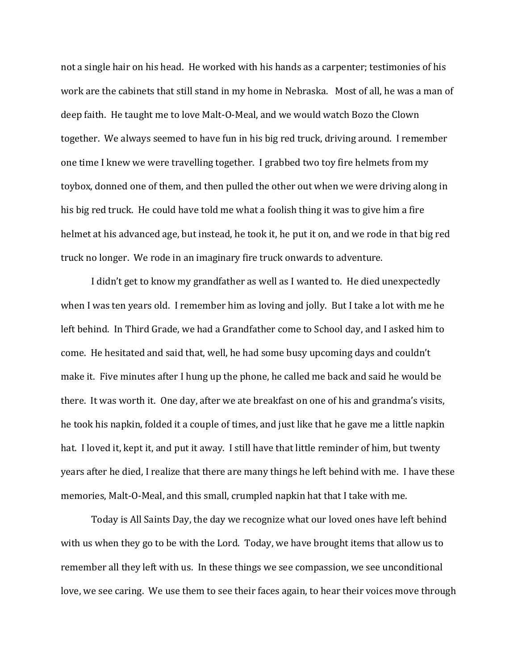not a single hair on his head. He worked with his hands as a carpenter; testimonies of his work are the cabinets that still stand in my home in Nebraska. Most of all, he was a man of deep faith. He taught me to love Malt-O-Meal, and we would watch Bozo the Clown together. We always seemed to have fun in his big red truck, driving around. I remember one time I knew we were travelling together. I grabbed two toy fire helmets from my toybox, donned one of them, and then pulled the other out when we were driving along in his big red truck. He could have told me what a foolish thing it was to give him a fire helmet at his advanced age, but instead, he took it, he put it on, and we rode in that big red truck no longer. We rode in an imaginary fire truck onwards to adventure.

I didn't get to know my grandfather as well as I wanted to. He died unexpectedly when I was ten years old. I remember him as loving and jolly. But I take a lot with me he left behind. In Third Grade, we had a Grandfather come to School day, and I asked him to come. He hesitated and said that, well, he had some busy upcoming days and couldn't make it. Five minutes after I hung up the phone, he called me back and said he would be there. It was worth it. One day, after we ate breakfast on one of his and grandma's visits, he took his napkin, folded it a couple of times, and just like that he gave me a little napkin hat. I loved it, kept it, and put it away. I still have that little reminder of him, but twenty years after he died, I realize that there are many things he left behind with me. I have these memories, Malt-O-Meal, and this small, crumpled napkin hat that I take with me.

Today is All Saints Day, the day we recognize what our loved ones have left behind with us when they go to be with the Lord. Today, we have brought items that allow us to remember all they left with us. In these things we see compassion, we see unconditional love, we see caring. We use them to see their faces again, to hear their voices move through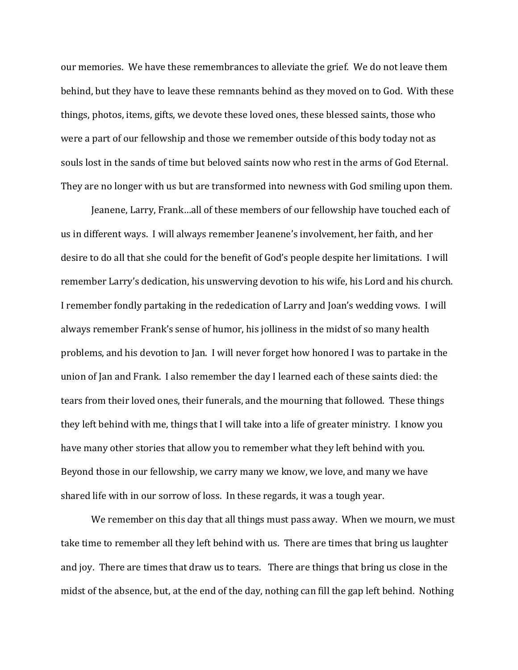our memories. We have these remembrances to alleviate the grief. We do not leave them behind, but they have to leave these remnants behind as they moved on to God. With these things, photos, items, gifts, we devote these loved ones, these blessed saints, those who were a part of our fellowship and those we remember outside of this body today not as souls lost in the sands of time but beloved saints now who rest in the arms of God Eternal. They are no longer with us but are transformed into newness with God smiling upon them.

Jeanene, Larry, Frank…all of these members of our fellowship have touched each of us in different ways. I will always remember Jeanene's involvement, her faith, and her desire to do all that she could for the benefit of God's people despite her limitations. I will remember Larry's dedication, his unswerving devotion to his wife, his Lord and his church. I remember fondly partaking in the rededication of Larry and Joan's wedding vows. I will always remember Frank's sense of humor, his jolliness in the midst of so many health problems, and his devotion to Jan. I will never forget how honored I was to partake in the union of Jan and Frank. I also remember the day I learned each of these saints died: the tears from their loved ones, their funerals, and the mourning that followed. These things they left behind with me, things that I will take into a life of greater ministry. I know you have many other stories that allow you to remember what they left behind with you. Beyond those in our fellowship, we carry many we know, we love, and many we have shared life with in our sorrow of loss. In these regards, it was a tough year.

We remember on this day that all things must pass away. When we mourn, we must take time to remember all they left behind with us. There are times that bring us laughter and joy. There are times that draw us to tears. There are things that bring us close in the midst of the absence, but, at the end of the day, nothing can fill the gap left behind. Nothing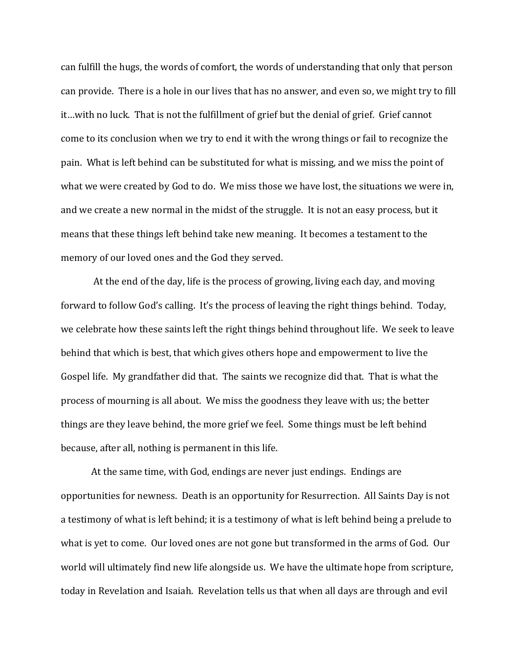can fulfill the hugs, the words of comfort, the words of understanding that only that person can provide. There is a hole in our lives that has no answer, and even so, we might try to fill it…with no luck. That is not the fulfillment of grief but the denial of grief. Grief cannot come to its conclusion when we try to end it with the wrong things or fail to recognize the pain. What is left behind can be substituted for what is missing, and we miss the point of what we were created by God to do. We miss those we have lost, the situations we were in, and we create a new normal in the midst of the struggle. It is not an easy process, but it means that these things left behind take new meaning. It becomes a testament to the memory of our loved ones and the God they served.

At the end of the day, life is the process of growing, living each day, and moving forward to follow God's calling. It's the process of leaving the right things behind. Today, we celebrate how these saints left the right things behind throughout life. We seek to leave behind that which is best, that which gives others hope and empowerment to live the Gospel life. My grandfather did that. The saints we recognize did that. That is what the process of mourning is all about. We miss the goodness they leave with us; the better things are they leave behind, the more grief we feel. Some things must be left behind because, after all, nothing is permanent in this life.

At the same time, with God, endings are never just endings. Endings are opportunities for newness. Death is an opportunity for Resurrection. All Saints Day is not a testimony of what is left behind; it is a testimony of what is left behind being a prelude to what is yet to come. Our loved ones are not gone but transformed in the arms of God. Our world will ultimately find new life alongside us. We have the ultimate hope from scripture, today in Revelation and Isaiah. Revelation tells us that when all days are through and evil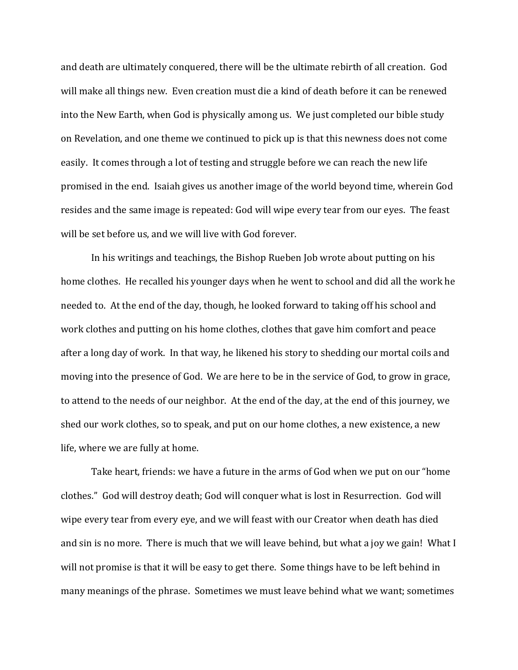and death are ultimately conquered, there will be the ultimate rebirth of all creation. God will make all things new. Even creation must die a kind of death before it can be renewed into the New Earth, when God is physically among us. We just completed our bible study on Revelation, and one theme we continued to pick up is that this newness does not come easily. It comes through a lot of testing and struggle before we can reach the new life promised in the end. Isaiah gives us another image of the world beyond time, wherein God resides and the same image is repeated: God will wipe every tear from our eyes. The feast will be set before us, and we will live with God forever.

In his writings and teachings, the Bishop Rueben Job wrote about putting on his home clothes. He recalled his younger days when he went to school and did all the work he needed to. At the end of the day, though, he looked forward to taking off his school and work clothes and putting on his home clothes, clothes that gave him comfort and peace after a long day of work. In that way, he likened his story to shedding our mortal coils and moving into the presence of God. We are here to be in the service of God, to grow in grace, to attend to the needs of our neighbor. At the end of the day, at the end of this journey, we shed our work clothes, so to speak, and put on our home clothes, a new existence, a new life, where we are fully at home.

Take heart, friends: we have a future in the arms of God when we put on our "home clothes." God will destroy death; God will conquer what is lost in Resurrection. God will wipe every tear from every eye, and we will feast with our Creator when death has died and sin is no more. There is much that we will leave behind, but what a joy we gain! What I will not promise is that it will be easy to get there. Some things have to be left behind in many meanings of the phrase. Sometimes we must leave behind what we want; sometimes